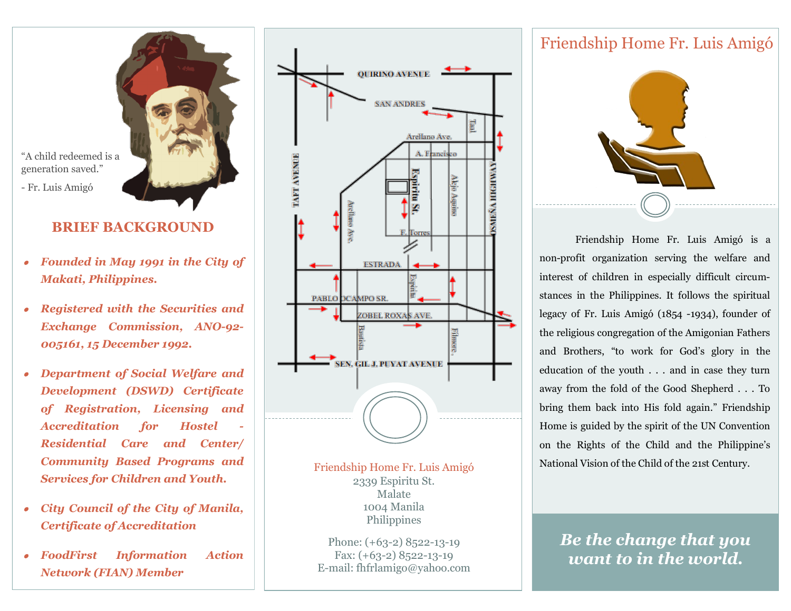

"A child redeemed is a generation saved."

- Fr. Luis Amigó

#### **BRIEF BACKGROUND**

- *Founded in May 1991 in the City of Makati, Philippines.*
- *Registered with the Securities and Exchange Commission, ANO-92- 005161, 15 December 1992.*
- *Department of Social Welfare and Development (DSWD) Certificate of Registration, Licensing and Accreditation for Hostel - Residential Care and Center/ Community Based Programs and Services for Children and Youth.*
- *City Council of the City of Manila, Certificate of Accreditation*
- *FoodFirst Information Action Network (FIAN) Member*



Friendship Home Fr. Luis Amigó 2339 Espiritu St. Malate 1004 Manila Philippines

Phone: (+63-2) 8522-13-19 Fax:  $(+63-2)$  8522-13-19 E-mail: fhfrlamigo@yahoo.com

### Friendship Home Fr. Luis Amigó



Friendship Home Fr. Luis Amigó is a non-profit organization serving the welfare and interest of children in especially difficult circumstances in the Philippines. It follows the spiritual legacy of Fr. Luis Amigó (1854 -1934), founder of the religious congregation of the Amigonian Fathers and Brothers, "to work for God's glory in the education of the youth . . . and in case they turn away from the fold of the Good Shepherd . . . To bring them back into His fold again." Friendship Home is guided by the spirit of the UN Convention on the Rights of the Child and the Philippine's National Vision of the Child of the 21st Century.

*Be the change that you want to in the world.*